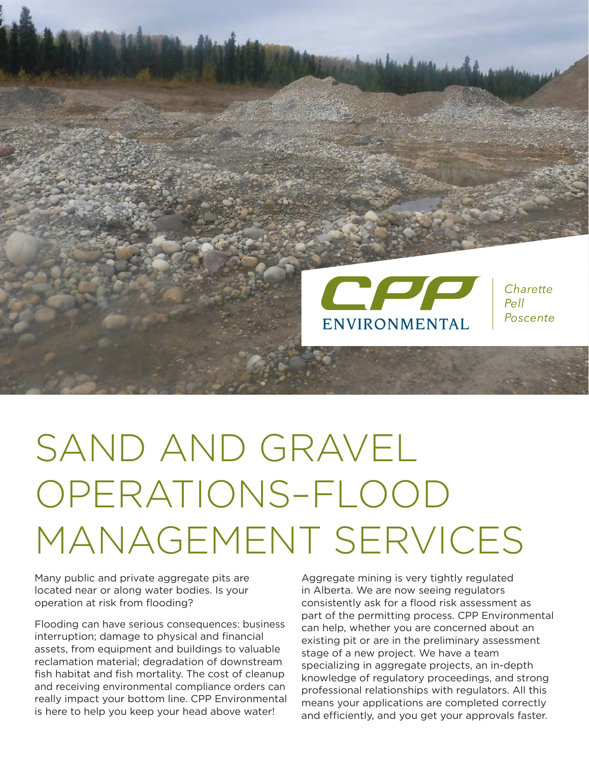

# SAND AND GRAVEL OPERATIONS–FLOOD MANAGEMENT SERVICES

Many public and private aggregate pits are located near or along water bodies. Is your operation at risk from flooding?

Flooding can have serious consequences: business interruption; damage to physical and financial assets, from equipment and buildings to valuable reclamation material; degradation of downstream fish habitat and fish mortality. The cost of cleanup and receiving environmental compliance orders can really impact your bottom line. CPP Environmental is here to help you keep your head above water!

Aggregate mining is very tightly regulated in Alberta. We are now seeing regulators consistently ask for a flood risk assessment as part of the permitting process. CPP Environmental can help, whether you are concerned about an existing pit or are in the preliminary assessment stage of a new project. We have a team specializing in aggregate projects, an in-depth knowledge of regulatory proceedings, and strong professional relationships with regulators. All this means your applications are completed correctly and efficiently, and you get your approvals faster.